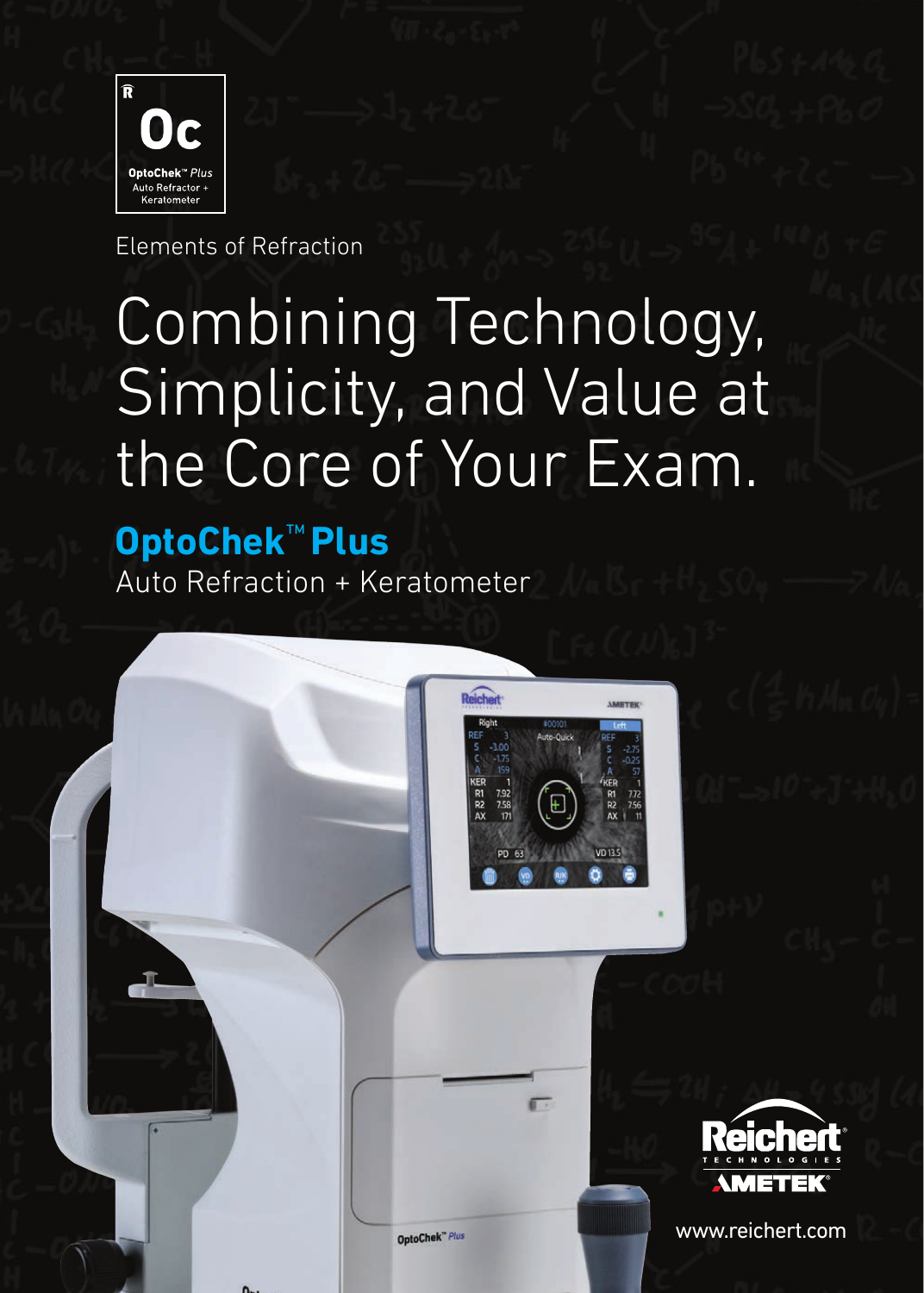



Elements of Refraction

# Combining Technology, Simplicity, and Value at the Core of Your Exam.

# **OptoChek**™ **Plus**

Auto Refraction + Keratometer



OptoChek<sup>"</sup> Plus

www.reichert.com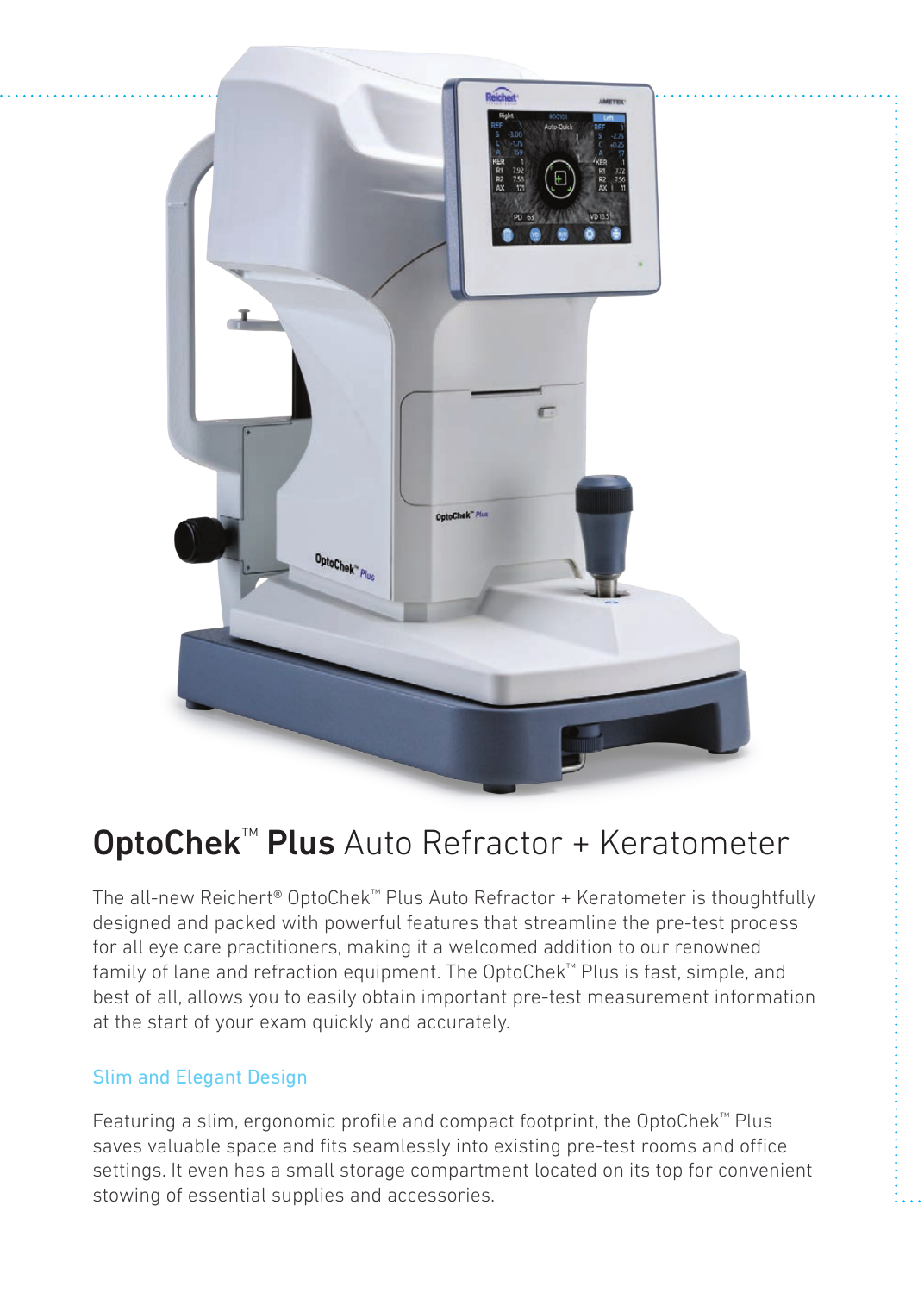

# **OptoChek™ Plus** Auto Refractor + Keratometer

The all-new Reichert® OptoChek™ Plus Auto Refractor + Keratometer is thoughtfully designed and packed with powerful features that streamline the pre-test process for all eye care practitioners, making it a welcomed addition to our renowned family of lane and refraction equipment. The OptoChek™ Plus is fast, simple, and best of all, allows you to easily obtain important pre-test measurement information at the start of your exam quickly and accurately.

### Slim and Elegant Design

Featuring a slim, ergonomic profile and compact footprint, the OptoChek™ Plus saves valuable space and fits seamlessly into existing pre-test rooms and office settings. It even has a small storage compartment located on its top for convenient stowing of essential supplies and accessories.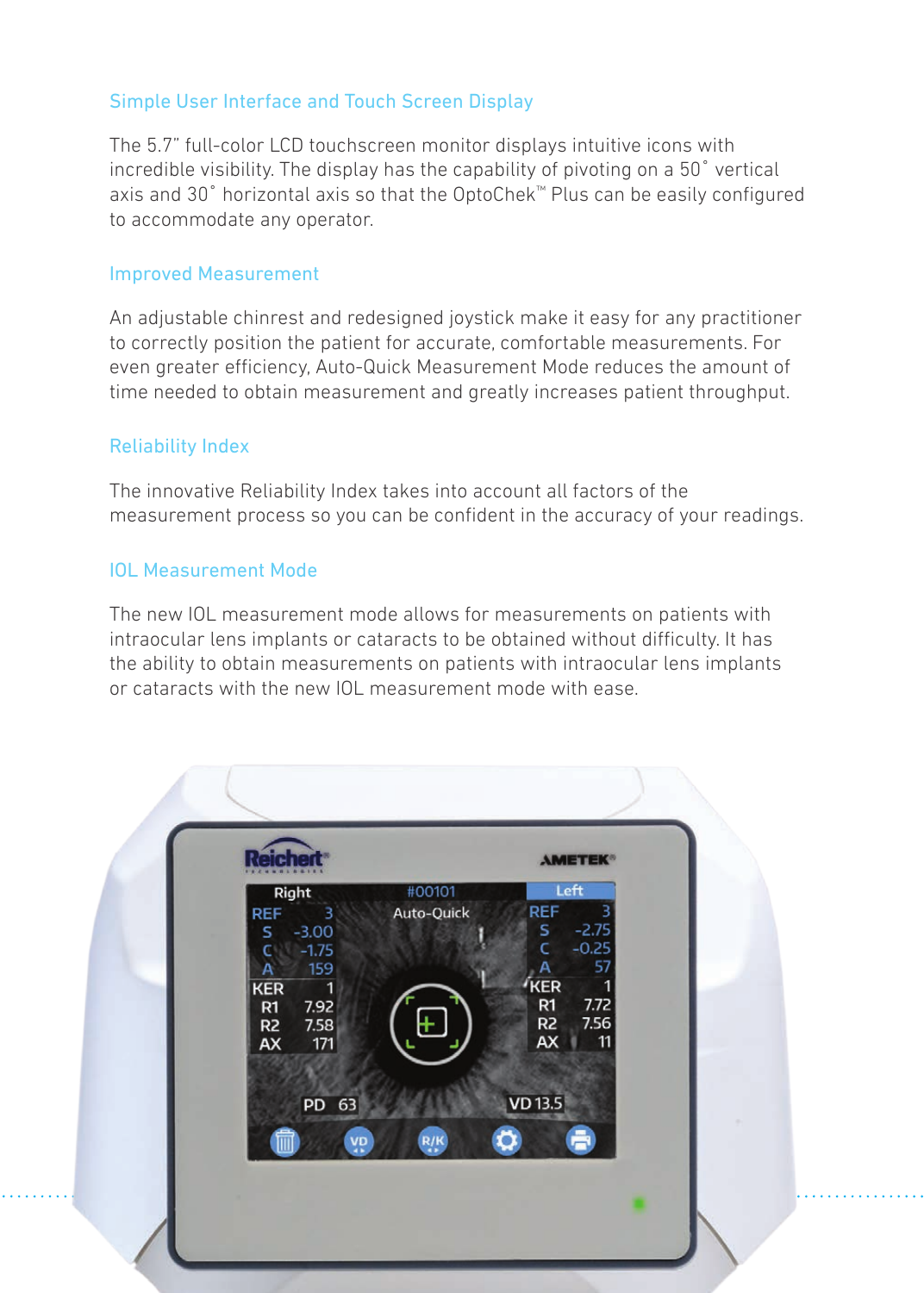### Simple User Interface and Touch Screen Display

The 5.7" full-color LCD touchscreen monitor displays intuitive icons with incredible visibility. The display has the capability of pivoting on a 50° vertical axis and 30° horizontal axis so that the OptoChek™ Plus can be easily configured to accommodate any operator.

#### Improved Measurement

An adjustable chinrest and redesigned joystick make it easy for any practitioner to correctly position the patient for accurate, comfortable measurements. For even greater efficiency, Auto-Quick Measurement Mode reduces the amount of time needed to obtain measurement and greatly increases patient throughput.

#### Reliability Index

The innovative Reliability Index takes into account all factors of the measurement process so you can be confident in the accuracy of your readings.

#### IOL Measurement Mode

The new IOL measurement mode allows for measurements on patients with intraocular lens implants or cataracts to be obtained without difficulty. It has the ability to obtain measurements on patients with intraocular lens implants or cataracts with the new IOL measurement mode with ease.

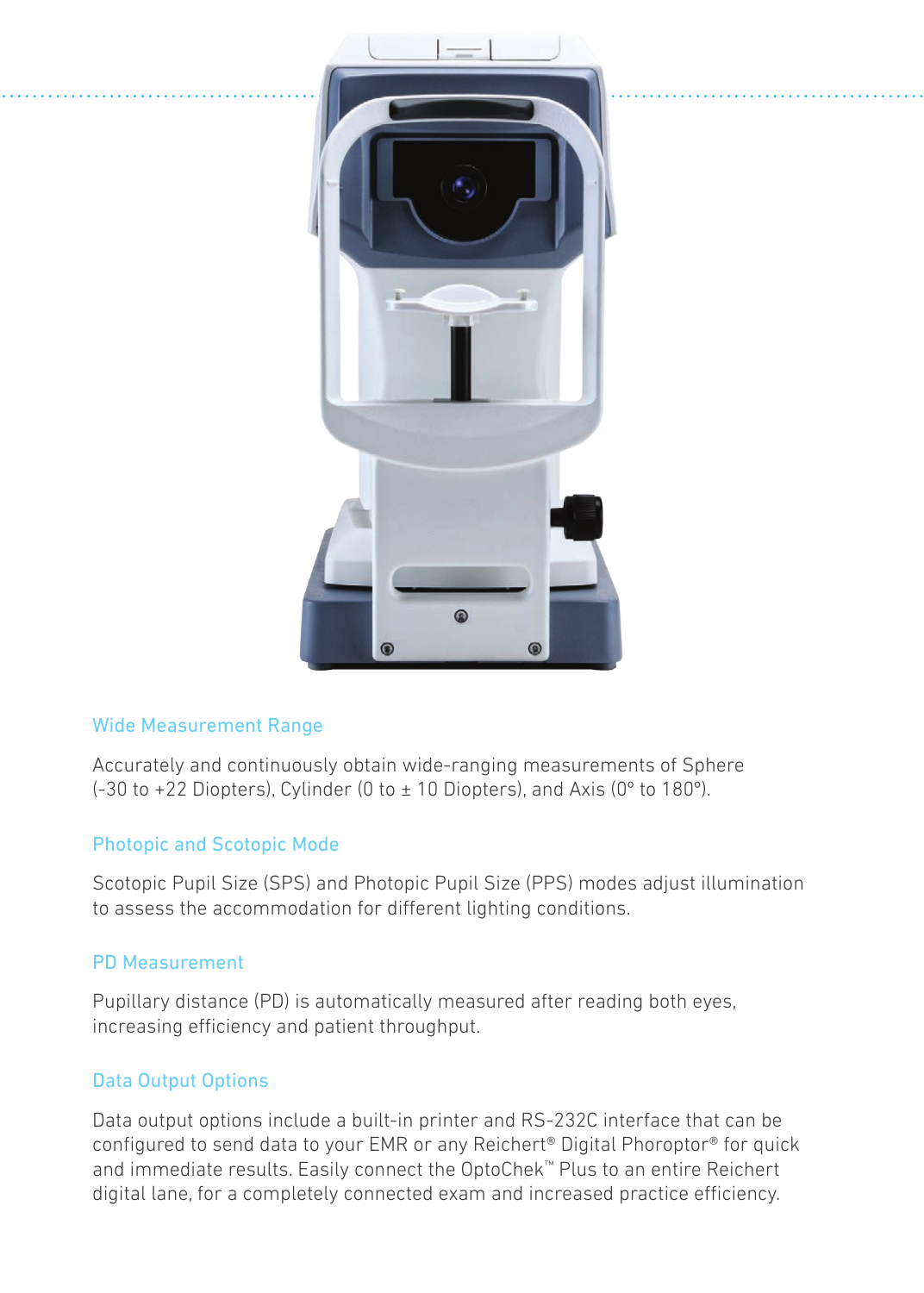

#### Wide Measurement Range

Accurately and continuously obtain wide-ranging measurements of Sphere  $(-30$  to  $+22$  Diopters), Cylinder (0 to  $\pm$  10 Diopters), and Axis (0 $^{\circ}$  to 180 $^{\circ}$ ).

### Photopic and Scotopic Mode

Scotopic Pupil Size (SPS) and Photopic Pupil Size (PPS) modes adjust illumination to assess the accommodation for different lighting conditions.

### PD Measurement

Pupillary distance (PD) is automatically measured after reading both eyes, increasing efficiency and patient throughput.

### Data Output Options

Data output options include a built-in printer and RS-232C interface that can be configured to send data to your EMR or any Reichert® Digital Phoroptor® for quick and immediate results. Easily connect the OptoChek™ Plus to an entire Reichert digital lane, for a completely connected exam and increased practice efficiency.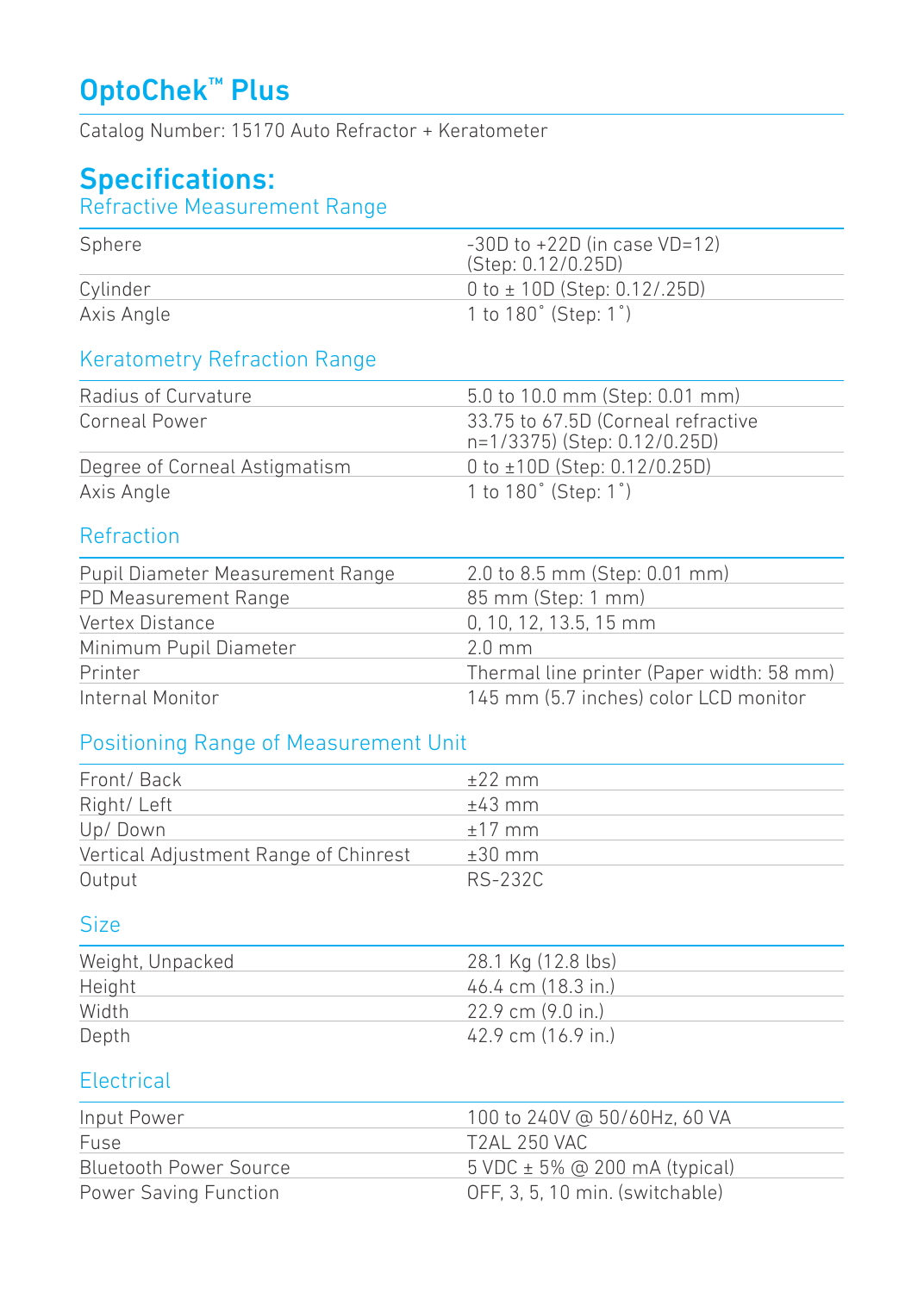# OptoChek™ Plus

Catalog Number: 15170 Auto Refractor + Keratometer

## Specifications:

### Refractive Measurement Range

| Sphere     | $-30D$ to $+22D$ (in case VD=12)<br>(Step: 0.12/0.25D) |
|------------|--------------------------------------------------------|
| Cylinder   | $0$ to $\pm$ 10D (Step: 0.12/.25D)                     |
| Axis Angle | 1 to 180° (Step: 1°)                                   |

## Keratometry Refraction Range

| Radius of Curvature           | 5.0 to 10.0 mm (Step: 0.01 mm)                                     |
|-------------------------------|--------------------------------------------------------------------|
| Corneal Power                 | 33.75 to 67.5D (Corneal refractive<br>n=1/3375) (Step: 0.12/0.25D) |
| Degree of Corneal Astigmatism | 0 to $\pm$ 10D (Step: 0.12/0.25D)                                  |
| Axis Angle                    | 1 to 180° (Step: 1°)                                               |

### **Refraction**

| Pupil Diameter Measurement Range | 2.0 to 8.5 mm (Step: 0.01 mm)             |
|----------------------------------|-------------------------------------------|
| PD Measurement Range             | 85 mm (Step: 1 mm)                        |
| Vertex Distance                  | $0.10.12.13.5.15$ mm                      |
| Minimum Pupil Diameter           | $2.0 \text{ mm}$                          |
| Printer                          | Thermal line printer (Paper width: 58 mm) |
| Internal Monitor                 | 145 mm (5.7 inches) color LCD monitor     |

### Positioning Range of Measurement Unit

| Front/Back                            | $+22$ mm |
|---------------------------------------|----------|
| Right/Left                            | $+43$ mm |
| Up/Down                               | $±17$ mm |
| Vertical Adjustment Range of Chinrest | $±30$ mm |
| Output                                | RS-232C  |

### Size

| Weight, Unpacked | 28.1 Kg (12.8 lbs)     |
|------------------|------------------------|
| Height           | 46.4 cm (18.3 in.)     |
| Width            | $22.9$ cm $(9.0)$ in.) |
| Depth            | 42.9 cm (16.9 in.)     |

### **Electrical**

| Input Power            | 100 to 240V @ 50/60Hz, 60 VA        |
|------------------------|-------------------------------------|
| Fuse                   | T2AL 250 VAC                        |
| Bluetooth Power Source | $5$ VDC $\pm$ 5% @ 200 mA (typical) |
| Power Saving Function  | OFF. 3. 5. 10 min. (switchable)     |